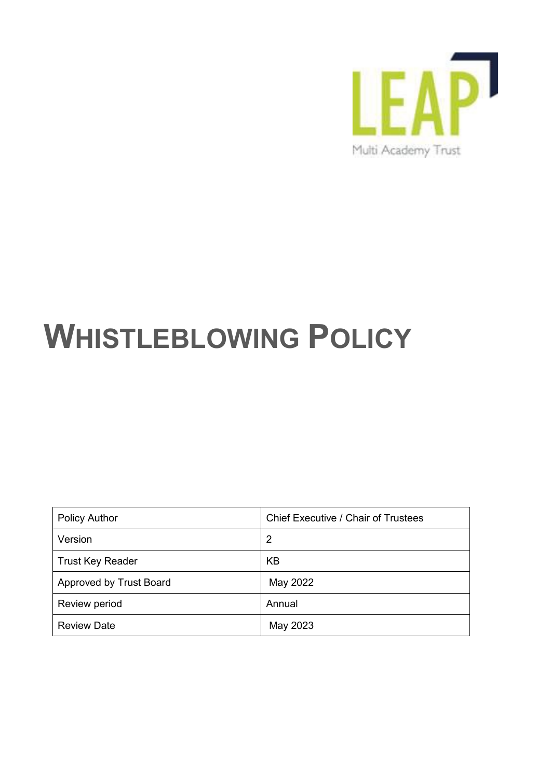

# **WHISTLEBLOWING POLICY**

| <b>Policy Author</b>           | <b>Chief Executive / Chair of Trustees</b> |
|--------------------------------|--------------------------------------------|
| Version                        | 2                                          |
| <b>Trust Key Reader</b>        | <b>KB</b>                                  |
| <b>Approved by Trust Board</b> | May 2022                                   |
| Review period                  | Annual                                     |
| <b>Review Date</b>             | May 2023                                   |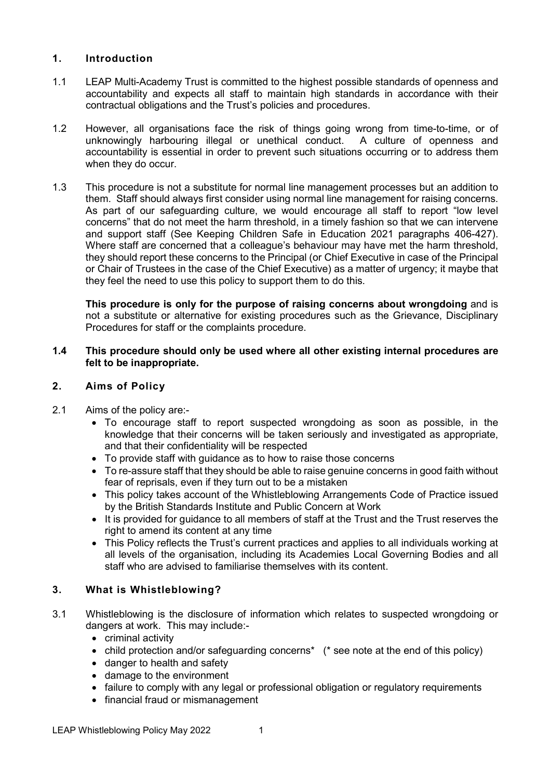## **1. Introduction**

- 1.1 LEAP Multi-Academy Trust is committed to the highest possible standards of openness and accountability and expects all staff to maintain high standards in accordance with their contractual obligations and the Trust's policies and procedures.
- 1.2 However, all organisations face the risk of things going wrong from time-to-time, or of unknowingly harbouring illegal or unethical conduct. A culture of openness and accountability is essential in order to prevent such situations occurring or to address them when they do occur.
- 1.3 This procedure is not a substitute for normal line management processes but an addition to them. Staff should always first consider using normal line management for raising concerns. As part of our safeguarding culture, we would encourage all staff to report "low level concerns" that do not meet the harm threshold, in a timely fashion so that we can intervene and support staff (See Keeping Children Safe in Education 2021 paragraphs 406-427). Where staff are concerned that a colleague's behaviour may have met the harm threshold, they should report these concerns to the Principal (or Chief Executive in case of the Principal or Chair of Trustees in the case of the Chief Executive) as a matter of urgency; it maybe that they feel the need to use this policy to support them to do this.

**This procedure is only for the purpose of raising concerns about wrongdoing** and is not a substitute or alternative for existing procedures such as the Grievance, Disciplinary Procedures for staff or the complaints procedure.

#### **1.4 This procedure should only be used where all other existing internal procedures are felt to be inappropriate.**

### **2. Aims of Policy**

- 2.1 Aims of the policy are:-
	- To encourage staff to report suspected wrongdoing as soon as possible, in the knowledge that their concerns will be taken seriously and investigated as appropriate, and that their confidentiality will be respected
	- To provide staff with guidance as to how to raise those concerns
	- To re-assure staff that they should be able to raise genuine concerns in good faith without fear of reprisals, even if they turn out to be a mistaken
	- This policy takes account of the Whistleblowing Arrangements Code of Practice issued by the British Standards Institute and Public Concern at Work
	- It is provided for guidance to all members of staff at the Trust and the Trust reserves the right to amend its content at any time
	- This Policy reflects the Trust's current practices and applies to all individuals working at all levels of the organisation, including its Academies Local Governing Bodies and all staff who are advised to familiarise themselves with its content.

# **3. What is Whistleblowing?**

- 3.1 Whistleblowing is the disclosure of information which relates to suspected wrongdoing or dangers at work. This may include:-
	- criminal activity
	- child protection and/or safeguarding concerns<sup>\*</sup> (\* see note at the end of this policy)
	- danger to health and safety
	- damage to the environment
	- failure to comply with any legal or professional obligation or regulatory requirements
	- financial fraud or mismanagement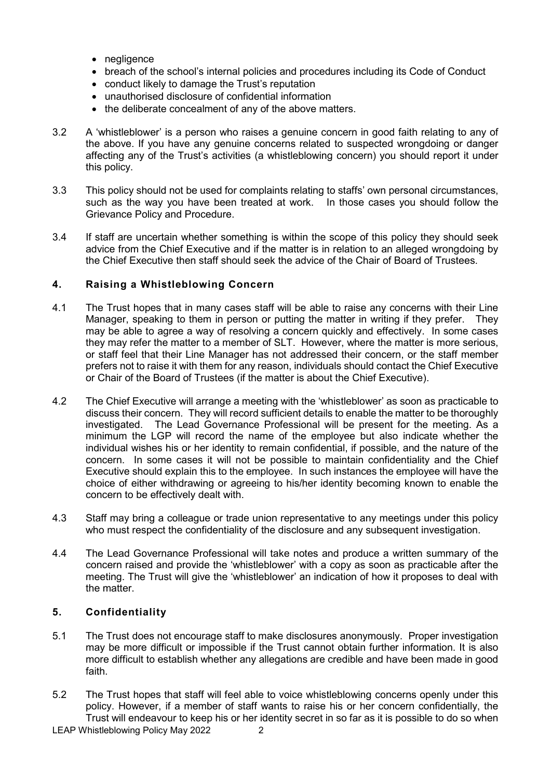- negligence
- breach of the school's internal policies and procedures including its Code of Conduct
- conduct likely to damage the Trust's reputation
- unauthorised disclosure of confidential information
- the deliberate concealment of any of the above matters.
- 3.2 A 'whistleblower' is a person who raises a genuine concern in good faith relating to any of the above. If you have any genuine concerns related to suspected wrongdoing or danger affecting any of the Trust's activities (a whistleblowing concern) you should report it under this policy.
- 3.3 This policy should not be used for complaints relating to staffs' own personal circumstances, such as the way you have been treated at work. In those cases you should follow the Grievance Policy and Procedure.
- 3.4 If staff are uncertain whether something is within the scope of this policy they should seek advice from the Chief Executive and if the matter is in relation to an alleged wrongdoing by the Chief Executive then staff should seek the advice of the Chair of Board of Trustees.

## **4. Raising a Whistleblowing Concern**

- 4.1 The Trust hopes that in many cases staff will be able to raise any concerns with their Line Manager, speaking to them in person or putting the matter in writing if they prefer. They may be able to agree a way of resolving a concern quickly and effectively. In some cases they may refer the matter to a member of SLT. However, where the matter is more serious, or staff feel that their Line Manager has not addressed their concern, or the staff member prefers not to raise it with them for any reason, individuals should contact the Chief Executive or Chair of the Board of Trustees (if the matter is about the Chief Executive).
- 4.2 The Chief Executive will arrange a meeting with the 'whistleblower' as soon as practicable to discuss their concern. They will record sufficient details to enable the matter to be thoroughly investigated. The Lead Governance Professional will be present for the meeting. As a minimum the LGP will record the name of the employee but also indicate whether the individual wishes his or her identity to remain confidential, if possible, and the nature of the concern. In some cases it will not be possible to maintain confidentiality and the Chief Executive should explain this to the employee. In such instances the employee will have the choice of either withdrawing or agreeing to his/her identity becoming known to enable the concern to be effectively dealt with.
- 4.3 Staff may bring a colleague or trade union representative to any meetings under this policy who must respect the confidentiality of the disclosure and any subsequent investigation.
- 4.4 The Lead Governance Professional will take notes and produce a written summary of the concern raised and provide the 'whistleblower' with a copy as soon as practicable after the meeting. The Trust will give the 'whistleblower' an indication of how it proposes to deal with the matter.

# **5. Confidentiality**

- 5.1 The Trust does not encourage staff to make disclosures anonymously. Proper investigation may be more difficult or impossible if the Trust cannot obtain further information. It is also more difficult to establish whether any allegations are credible and have been made in good faith.
- 5.2 The Trust hopes that staff will feel able to voice whistleblowing concerns openly under this policy. However, if a member of staff wants to raise his or her concern confidentially, the Trust will endeavour to keep his or her identity secret in so far as it is possible to do so when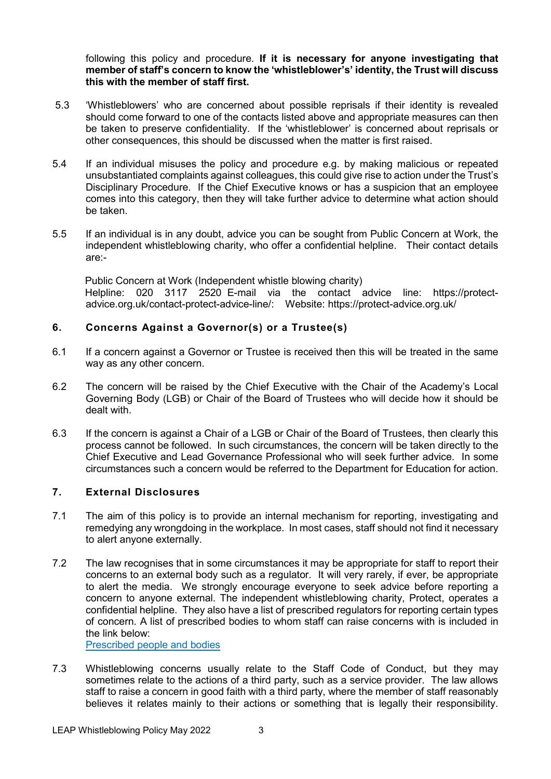following this policy and procedure. **If it is necessary for anyone investigating that member of staff's concern to know the 'whistleblower's' identity, the Trust will discuss this with the member of staff first.**

- 5.3 'Whistleblowers' who are concerned about possible reprisals if their identity is revealed should come forward to one of the contacts listed above and appropriate measures can then be taken to preserve confidentiality. If the 'whistleblower' is concerned about reprisals or other consequences, this should be discussed when the matter is first raised.
- 5.4 If an individual misuses the policy and procedure e.g. by making malicious or repeated unsubstantiated complaints against colleagues, this could give rise to action under the Trust's Disciplinary Procedure. If the Chief Executive knows or has a suspicion that an employee comes into this category, then they will take further advice to determine what action should be taken.
- 5.5 If an individual is in any doubt, advice you can be sought from Public Concern at Work, the independent whistleblowing charity, who offer a confidential helpline. Their contact details are:-

Public Concern at Work (Independent whistle blowing charity) Helpline: 020 3117 2520 E-mail via the contact advice line: https://protectadvice.org.uk/contact-protect-advice-line/: Website: https://protect-advice.org.uk/

## **6. Concerns Against a Governor(s) or a Trustee(s)**

- 6.1 If a concern against a Governor or Trustee is received then this will be treated in the same way as any other concern.
- 6.2 The concern will be raised by the Chief Executive with the Chair of the Academy's Local Governing Body (LGB) or Chair of the Board of Trustees who will decide how it should be dealt with.
- 6.3 If the concern is against a Chair of a LGB or Chair of the Board of Trustees, then clearly this process cannot be followed. In such circumstances, the concern will be taken directly to the Chief Executive and Lead Governance Professional who will seek further advice. In some circumstances such a concern would be referred to the Department for Education for action.

### **7. External Disclosures**

- 7.1 The aim of this policy is to provide an internal mechanism for reporting, investigating and remedying any wrongdoing in the workplace. In most cases, staff should not find it necessary to alert anyone externally.
- 7.2 The law recognises that in some circumstances it may be appropriate for staff to report their concerns to an external body such as a regulator. It will very rarely, if ever, be appropriate to alert the media. We strongly encourage everyone to seek advice before reporting a concern to anyone external. The independent whistleblowing charity, Protect, operates a confidential helpline. They also have a list of prescribed regulators for reporting certain types of concern. A list of prescribed bodies to whom staff can raise concerns with is included in the link below:

[Prescribed people and bodies](https://www.gov.uk/government/publications/blowing-the-whistle-list-of-prescribed-people-and-bodies--2/whistleblowing-list-of-prescribed-people-and-bodies#education)

7.3 Whistleblowing concerns usually relate to the Staff Code of Conduct, but they may sometimes relate to the actions of a third party, such as a service provider. The law allows staff to raise a concern in good faith with a third party, where the member of staff reasonably believes it relates mainly to their actions or something that is legally their responsibility.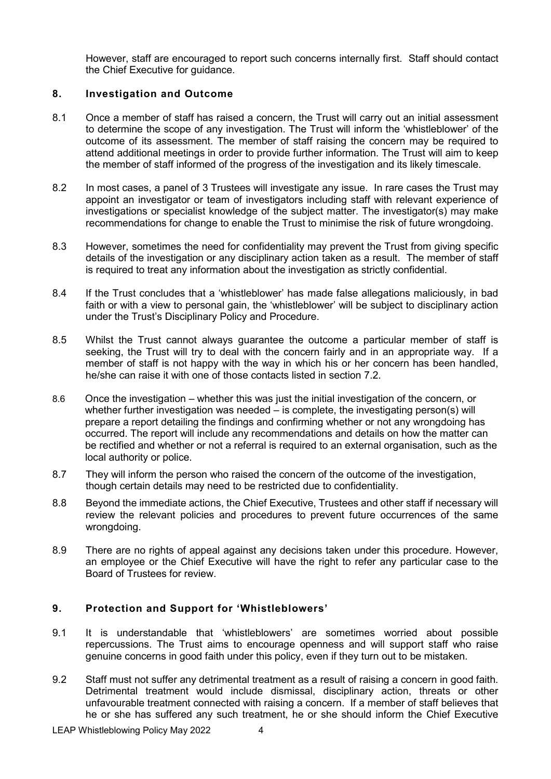However, staff are encouraged to report such concerns internally first. Staff should contact the Chief Executive for guidance.

#### **8. Investigation and Outcome**

- 8.1 Once a member of staff has raised a concern, the Trust will carry out an initial assessment to determine the scope of any investigation. The Trust will inform the 'whistleblower' of the outcome of its assessment. The member of staff raising the concern may be required to attend additional meetings in order to provide further information. The Trust will aim to keep the member of staff informed of the progress of the investigation and its likely timescale.
- 8.2 In most cases, a panel of 3 Trustees will investigate any issue. In rare cases the Trust may appoint an investigator or team of investigators including staff with relevant experience of investigations or specialist knowledge of the subject matter. The investigator(s) may make recommendations for change to enable the Trust to minimise the risk of future wrongdoing.
- 8.3 However, sometimes the need for confidentiality may prevent the Trust from giving specific details of the investigation or any disciplinary action taken as a result. The member of staff is required to treat any information about the investigation as strictly confidential.
- 8.4 If the Trust concludes that a 'whistleblower' has made false allegations maliciously, in bad faith or with a view to personal gain, the 'whistleblower' will be subject to disciplinary action under the Trust's Disciplinary Policy and Procedure.
- 8.5 Whilst the Trust cannot always guarantee the outcome a particular member of staff is seeking, the Trust will try to deal with the concern fairly and in an appropriate way. If a member of staff is not happy with the way in which his or her concern has been handled, he/she can raise it with one of those contacts listed in section 7.2.
- 8.6 Once the investigation whether this was just the initial investigation of the concern, or whether further investigation was needed – is complete, the investigating person(s) will prepare a report detailing the findings and confirming whether or not any wrongdoing has occurred. The report will include any recommendations and details on how the matter can be rectified and whether or not a referral is required to an external organisation, such as the local authority or police.
- 8.7 They will inform the person who raised the concern of the outcome of the investigation, though certain details may need to be restricted due to confidentiality.
- 8.8 Beyond the immediate actions, the Chief Executive, Trustees and other staff if necessary will review the relevant policies and procedures to prevent future occurrences of the same wrongdoing.
- 8.9 There are no rights of appeal against any decisions taken under this procedure. However, an employee or the Chief Executive will have the right to refer any particular case to the Board of Trustees for review.

# **9. Protection and Support for 'Whistleblowers'**

- 9.1 It is understandable that 'whistleblowers' are sometimes worried about possible repercussions. The Trust aims to encourage openness and will support staff who raise genuine concerns in good faith under this policy, even if they turn out to be mistaken.
- 9.2 Staff must not suffer any detrimental treatment as a result of raising a concern in good faith. Detrimental treatment would include dismissal, disciplinary action, threats or other unfavourable treatment connected with raising a concern. If a member of staff believes that he or she has suffered any such treatment, he or she should inform the Chief Executive